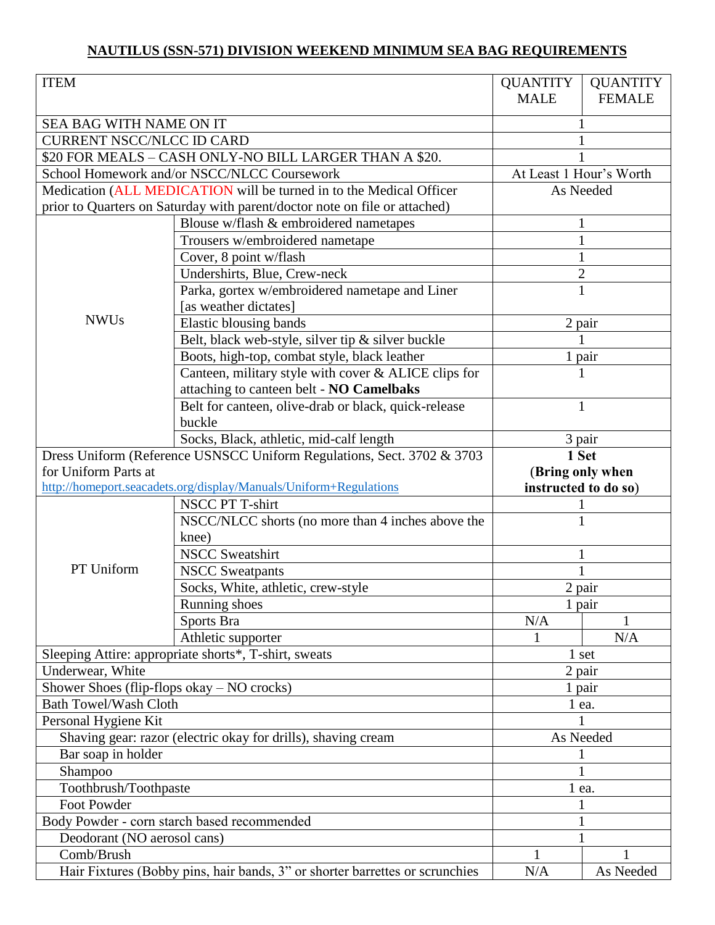## **NAUTILUS (SSN-571) DIVISION WEEKEND MINIMUM SEA BAG REQUIREMENTS**

| <b>ITEM</b>                                                                  |                                                       | <b>QUANTITY</b>         | <b>QUANTITY</b> |  |
|------------------------------------------------------------------------------|-------------------------------------------------------|-------------------------|-----------------|--|
|                                                                              |                                                       | <b>MALE</b>             | <b>FEMALE</b>   |  |
| SEA BAG WITH NAME ON IT                                                      |                                                       |                         |                 |  |
| <b>CURRENT NSCC/NLCC ID CARD</b>                                             |                                                       |                         |                 |  |
| \$20 FOR MEALS - CASH ONLY-NO BILL LARGER THAN A \$20.                       |                                                       |                         |                 |  |
| School Homework and/or NSCC/NLCC Coursework                                  |                                                       | At Least 1 Hour's Worth |                 |  |
| Medication (ALL MEDICATION will be turned in to the Medical Officer          |                                                       | As Needed               |                 |  |
| prior to Quarters on Saturday with parent/doctor note on file or attached)   |                                                       |                         |                 |  |
|                                                                              | Blouse w/flash & embroidered nametapes                |                         |                 |  |
| <b>NWUs</b>                                                                  | Trousers w/embroidered nametape                       | 1                       |                 |  |
|                                                                              | Cover, 8 point w/flash                                | 1                       |                 |  |
|                                                                              | Undershirts, Blue, Crew-neck                          | $\mathbf{2}$            |                 |  |
|                                                                              | Parka, gortex w/embroidered nametape and Liner        | $\mathbf{1}$            |                 |  |
|                                                                              | [as weather dictates]                                 |                         |                 |  |
|                                                                              | Elastic blousing bands                                | 2 pair                  |                 |  |
|                                                                              | Belt, black web-style, silver tip $\&$ silver buckle  |                         |                 |  |
|                                                                              | Boots, high-top, combat style, black leather          |                         |                 |  |
|                                                                              | Canteen, military style with cover & ALICE clips for  | 1 pair<br>1             |                 |  |
|                                                                              | attaching to canteen belt - NO Camelbaks              |                         |                 |  |
|                                                                              | Belt for canteen, olive-drab or black, quick-release  | $\mathbf{1}$            |                 |  |
|                                                                              | buckle                                                |                         |                 |  |
|                                                                              | Socks, Black, athletic, mid-calf length               | 3 pair                  |                 |  |
| Dress Uniform (Reference USNSCC Uniform Regulations, Sect. 3702 & 3703       |                                                       | 1 Set                   |                 |  |
| for Uniform Parts at                                                         |                                                       | (Bring only when        |                 |  |
| http://homeport.seacadets.org/display/Manuals/Uniform+Regulations            |                                                       | instructed to do so)    |                 |  |
|                                                                              | <b>NSCC PT T-shirt</b>                                |                         |                 |  |
|                                                                              | NSCC/NLCC shorts (no more than 4 inches above the     |                         | $\mathbf{1}$    |  |
|                                                                              | knee)                                                 |                         |                 |  |
|                                                                              | <b>NSCC Sweatshirt</b>                                | 1                       |                 |  |
| PT Uniform                                                                   | <b>NSCC</b> Sweatpants                                | 1                       |                 |  |
|                                                                              | Socks, White, athletic, crew-style                    | 2 pair                  |                 |  |
|                                                                              | Running shoes                                         | 1 pair                  |                 |  |
|                                                                              | Sports Bra                                            | N/A                     |                 |  |
|                                                                              | Athletic supporter                                    | 1                       | N/A             |  |
|                                                                              | Sleeping Attire: appropriate shorts*, T-shirt, sweats |                         | 1 set           |  |
| Underwear, White                                                             |                                                       | 2 pair                  |                 |  |
|                                                                              | Shower Shoes (flip-flops okay - NO crocks)            |                         | 1 pair          |  |
| <b>Bath Towel/Wash Cloth</b>                                                 |                                                       | $1$ ea.                 |                 |  |
| Personal Hygiene Kit                                                         |                                                       |                         |                 |  |
| Shaving gear: razor (electric okay for drills), shaving cream                |                                                       | As Needed               |                 |  |
| Bar soap in holder                                                           |                                                       | 1                       |                 |  |
| Shampoo                                                                      |                                                       | 1                       |                 |  |
| Toothbrush/Toothpaste                                                        |                                                       | 1 ea.                   |                 |  |
| Foot Powder                                                                  |                                                       |                         |                 |  |
| Body Powder - corn starch based recommended                                  |                                                       |                         | 1               |  |
| Deodorant (NO aerosol cans)                                                  |                                                       |                         | 1               |  |
| Comb/Brush                                                                   |                                                       | 1                       |                 |  |
| Hair Fixtures (Bobby pins, hair bands, 3" or shorter barrettes or scrunchies |                                                       | N/A                     | As Needed       |  |